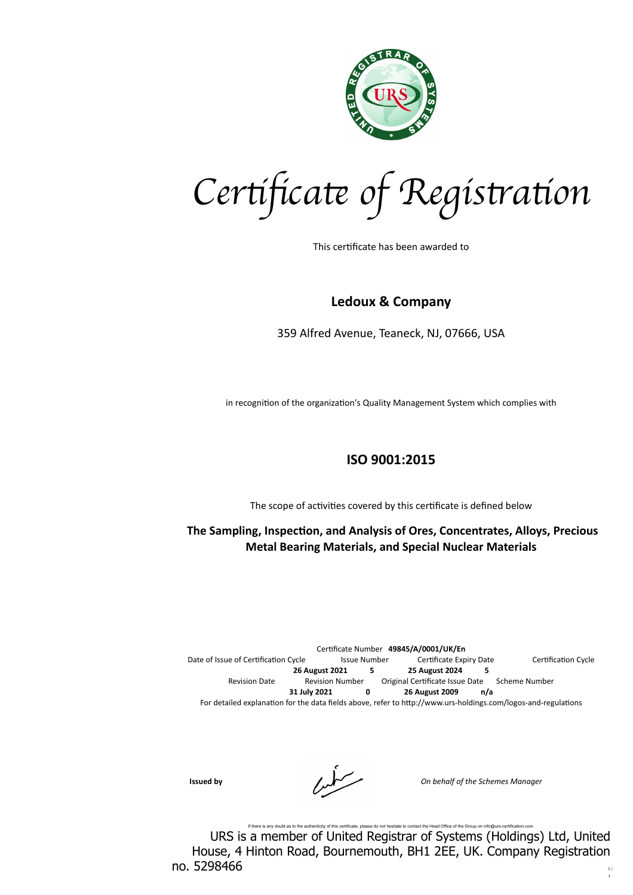

*Cer*tifi*ca*te *of Regis*tr*a*ti*on*

This certificate has been awarded to

## **Ledoux & Company**

359 Alfred Avenue, Teaneck, NJ, 07666, USA

in recognition of the organization's Quality Management System which complies with

## **ISO 9001:2015**

The scope of activities covered by this certificate is defined below

 **The Sampling, Inspection, and Analysis of Ores, Concentrates, Alloys, Precious Metal Bearing Materials, and Special Nuclear Materials** 

Certificate Number **49845/A/0001/UK/En** Date of Issue of Certification Cycle Issue Number Certificate Expiry Date Certification Cycle **26 August 2021 5 25 August 2024 5** Revision Date **Revision Number** Original Certificate Issue Date Scheme Number **31 July 2021 0 26 August 2009 n/a** For detailed explanation for the data fields above, refer to http://www.urs-holdings.com/logos-and-regulations

**Issued by** *On behalf of the Schemes Manager*

If there is any doubt as to the authenticity of this certificate, please do not hesitate to contact the Head Office of the Group on info@urs-certification.com. URS is a member of United Registrar of Systems (Holdings) Ltd, United House, 4 Hinton Road, Bournemouth, BH1 2EE, UK. Company Registration no. 5298466  $\frac{1}{1}$